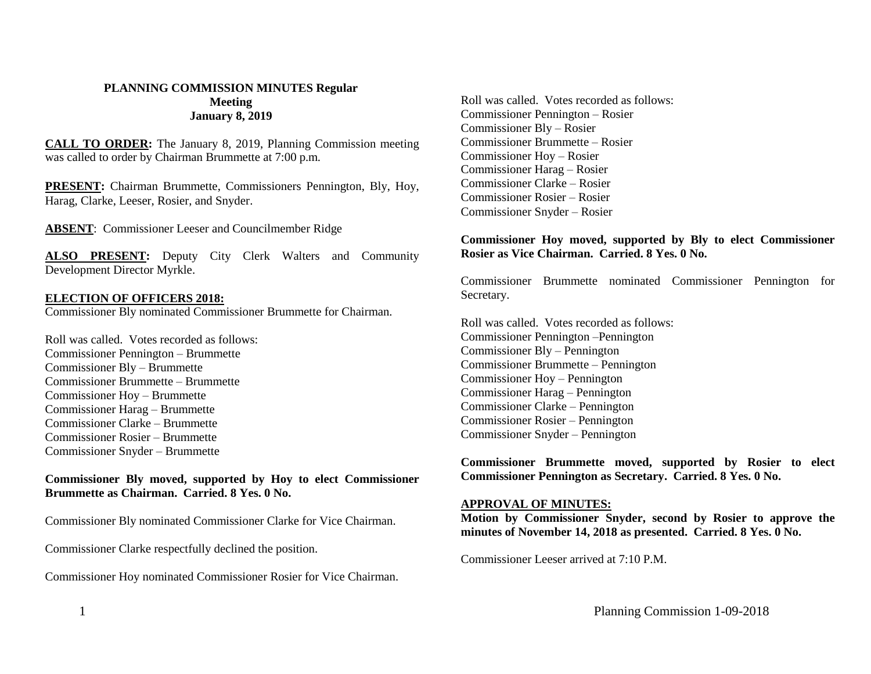#### **PLANNING COMMISSION MINUTES Regular Meeting January 8, 2019**

**CALL TO ORDER:** The January 8, 2019, Planning Commission meeting was called to order by Chairman Brummette at 7:00 p.m.

**PRESENT:** Chairman Brummette, Commissioners Pennington, Bly, Hoy, Harag, Clarke, Leeser, Rosier, and Snyder.

**ABSENT**: Commissioner Leeser and Councilmember Ridge

**ALSO PRESENT:** Deputy City Clerk Walters and Community Development Director Myrkle.

### **ELECTION OF OFFICERS 2018:**

Commissioner Bly nominated Commissioner Brummette for Chairman.

Roll was called. Votes recorded as follows: Commissioner Pennington – Brummette Commissioner Bly – Brummette Commissioner Brummette – Brummette Commissioner Hoy – Brummette Commissioner Harag – Brummette Commissioner Clarke – Brummette Commissioner Rosier – Brummette Commissioner Snyder – Brummette

**Commissioner Bly moved, supported by Hoy to elect Commissioner Brummette as Chairman. Carried. 8 Yes. 0 No.**

Commissioner Bly nominated Commissioner Clarke for Vice Chairman.

Commissioner Clarke respectfully declined the position.

Commissioner Hoy nominated Commissioner Rosier for Vice Chairman.

Roll was called. Votes recorded as follows: Commissioner Pennington – Rosier Commissioner Bly – Rosier Commissioner Brummette – Rosier Commissioner Hoy – Rosier Commissioner Harag – Rosier Commissioner Clarke – Rosier Commissioner Rosier – Rosier Commissioner Snyder – Rosier

#### **Commissioner Hoy moved, supported by Bly to elect Commissioner Rosier as Vice Chairman. Carried. 8 Yes. 0 No.**

Commissioner Brummette nominated Commissioner Pennington for Secretary.

Roll was called. Votes recorded as follows: Commissioner Pennington –Pennington Commissioner Bly – Pennington Commissioner Brummette – Pennington Commissioner Hoy – Pennington Commissioner Harag – Pennington Commissioner Clarke – Pennington Commissioner Rosier – Pennington Commissioner Snyder – Pennington

**Commissioner Brummette moved, supported by Rosier to elect Commissioner Pennington as Secretary. Carried. 8 Yes. 0 No.**

#### **APPROVAL OF MINUTES:**

**Motion by Commissioner Snyder, second by Rosier to approve the minutes of November 14, 2018 as presented. Carried. 8 Yes. 0 No.**

Commissioner Leeser arrived at 7:10 P.M.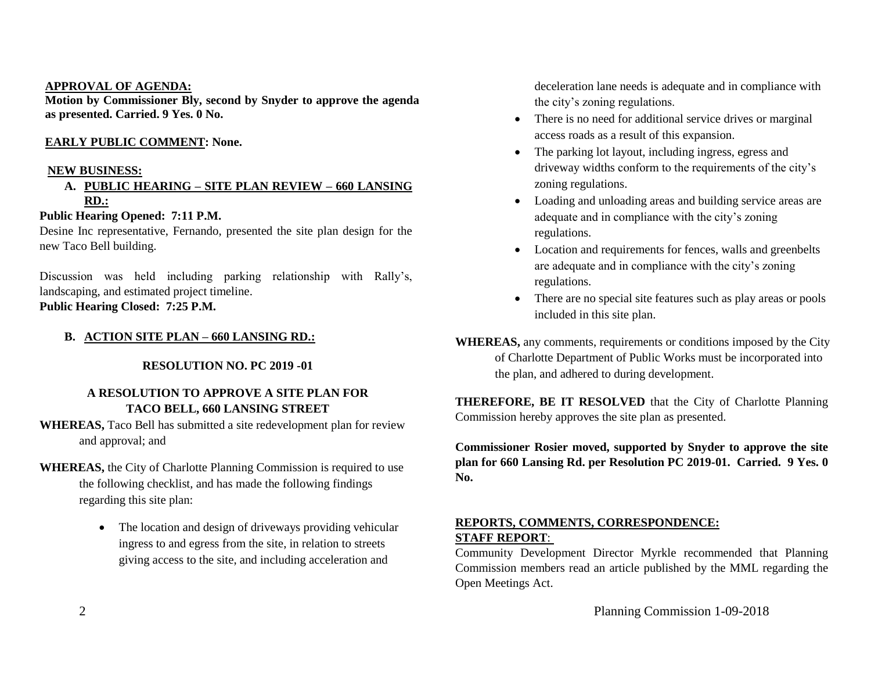#### **APPROVAL OF AGENDA:**

**Motion by Commissioner Bly, second by Snyder to approve the agenda as presented. Carried. 9 Yes. 0 No.**

## **EARLY PUBLIC COMMENT: None.**

### **NEW BUSINESS:**

## **A. PUBLIC HEARING – SITE PLAN REVIEW – 660 LANSING RD.:**

# **Public Hearing Opened: 7:11 P.M.**

Desine Inc representative, Fernando, presented the site plan design for the new Taco Bell building.

Discussion was held including parking relationship with Rally's, landscaping, and estimated project timeline. **Public Hearing Closed: 7:25 P.M.**

# **B. ACTION SITE PLAN – 660 LANSING RD.:**

### **RESOLUTION NO. PC 2019 -01**

# **A RESOLUTION TO APPROVE A SITE PLAN FOR TACO BELL, 660 LANSING STREET**

**WHEREAS,** Taco Bell has submitted a site redevelopment plan for review and approval; and

- **WHEREAS,** the City of Charlotte Planning Commission is required to use the following checklist, and has made the following findings regarding this site plan:
	- The location and design of driveways providing vehicular ingress to and egress from the site, in relation to streets giving access to the site, and including acceleration and

deceleration lane needs is adequate and in compliance with the city's zoning regulations.

- There is no need for additional service drives or marginal access roads as a result of this expansion.
- The parking lot layout, including ingress, egress and driveway widths conform to the requirements of the city's zoning regulations.
- Loading and unloading areas and building service areas are adequate and in compliance with the city's zoning regulations.
- Location and requirements for fences, walls and greenbelts are adequate and in compliance with the city's zoning regulations.
- There are no special site features such as play areas or pools included in this site plan.

**WHEREAS,** any comments, requirements or conditions imposed by the City of Charlotte Department of Public Works must be incorporated into the plan, and adhered to during development.

**THEREFORE, BE IT RESOLVED** that the City of Charlotte Planning Commission hereby approves the site plan as presented.

**Commissioner Rosier moved, supported by Snyder to approve the site plan for 660 Lansing Rd. per Resolution PC 2019-01. Carried. 9 Yes. 0 No.**

# **REPORTS, COMMENTS, CORRESPONDENCE: STAFF REPORT**:

Community Development Director Myrkle recommended that Planning Commission members read an article published by the MML regarding the Open Meetings Act.